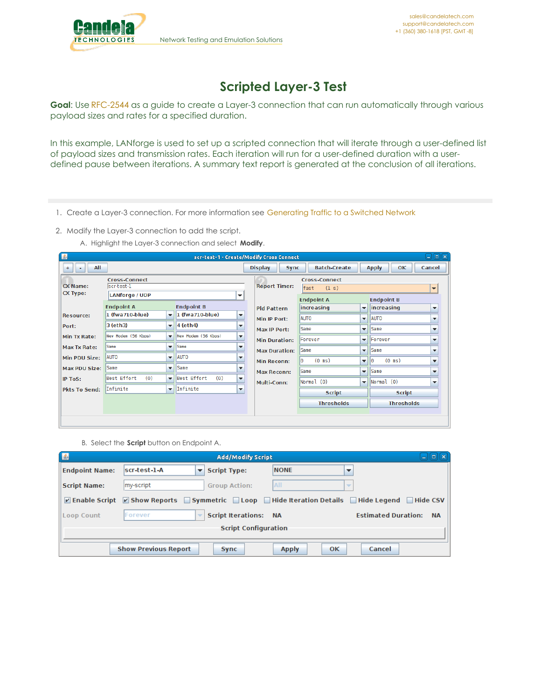

## **Scripted Layer-3 Test**

Goal: Use [RFC-2544](http://www.faqs.org/rfcs/rfc2544.html) as a guide to create a Layer-3 connection that can run automatically through various payload sizes and rates for a specified duration.

In this example, LANforge is used to set up a scripted connection that will iterate through a user-defined list of payload sizes and transmission rates. Each iteration will run for a user-defined duration with a userdefined pause between iterations. A summary text report is generated at the conclusion of all iterations.

- 1. Create a Layer-3 connection. For more information see [Generating](http://www.candelatech.com/cookbook.php?vol=fire&book=ex1) Traffic to a Switched Network
- 2. Modify the Layer-3 connection to add the script.
	- A. Highlight the Layer-3 connection and select **Modify**.

| $\mathbf{E}$                       |                                                           |                          |                                      |                          | scr-test-1 - Create/Modify Cross Connect                   |                                                                           |                          | $\Box$                 | <b>FIX</b>               |  |  |  |
|------------------------------------|-----------------------------------------------------------|--------------------------|--------------------------------------|--------------------------|------------------------------------------------------------|---------------------------------------------------------------------------|--------------------------|------------------------|--------------------------|--|--|--|
| All<br>$\ddot{}$<br>٠              |                                                           |                          |                                      |                          | <b>Display</b>                                             | <b>Batch-Create</b><br><b>OK</b><br>Cancel<br><b>Sync</b><br><b>Apply</b> |                          |                        |                          |  |  |  |
| <b>CX Name:</b><br><b>CX Type:</b> | Cross-Connect<br>scr-test-1<br><b>LANforge / UDP</b><br>▼ |                          |                                      | <b>Report Timer:</b>     | <b>Cross-Connect</b><br>fast<br>(1 s)<br><b>Endpoint A</b> |                                                                           | <b>Endpoint B</b>        | $\blacktriangledown$   |                          |  |  |  |
|                                    | <b>Endpoint A</b><br><b>Endpoint B</b>                    |                          |                                      | <b>Pld Pattern</b>       | increasing                                                 | ▼                                                                         | increasing               | ▼                      |                          |  |  |  |
| Resource:                          | $1$ (fwa7 $10$ -blue)                                     |                          | $\blacktriangledown$ 1 (fwa710-blue) | $\overline{\phantom{a}}$ | Min IP Port:                                               | <b>AUTO</b>                                                               | $\overline{\phantom{a}}$ | <b>AUTO</b>            | $\overline{\phantom{a}}$ |  |  |  |
| Port:                              | 3 (eth3)                                                  |                          | $\blacktriangledown$ 4 (eth4)        | $\overline{\phantom{a}}$ | Max IP Port:                                               | Same                                                                      | $\overline{\phantom{a}}$ | Same                   | $\overline{\phantom{a}}$ |  |  |  |
| Min Tx Rate:                       | New Modem (56 Kbps)                                       |                          | Wew Modem (56 Kbps)                  | $\overline{\phantom{a}}$ | <b>Min Duration:</b>                                       | lForever                                                                  | $\overline{\phantom{a}}$ | Forever                | $\overline{\phantom{a}}$ |  |  |  |
| Max Tx Rate:                       | Same                                                      |                          | $\blacktriangleright$ Same           | $\overline{\phantom{a}}$ | <b>Max Duration:</b>                                       | Same                                                                      | $\blacktriangledown$     | Same                   | $\overline{\phantom{a}}$ |  |  |  |
| Min PDU Size:                      | <b>AUTO</b>                                               | $\overline{\phantom{a}}$ | <b>AUTO</b>                          | $\overline{\phantom{a}}$ | <b>Min Reconn:</b>                                         | $(0 \text{ ms})$<br>lΘ                                                    | $\overline{\phantom{a}}$ | $(0 \text{ ms})$<br>l0 | $\overline{\phantom{a}}$ |  |  |  |
| <b>Max PDU Size:</b>               | Same                                                      |                          | $\blacktriangleright$ Same           | $\overline{\phantom{a}}$ | <b>Max Reconn:</b>                                         | Same                                                                      | $\overline{\phantom{a}}$ | <b>Same</b>            | $\overline{\phantom{a}}$ |  |  |  |
| IP ToS:                            | Best Effort<br>(0)                                        | $\overline{\phantom{a}}$ | Best Effort<br>(0)                   | $\overline{\phantom{a}}$ | Multi-Conn:                                                | Normal (0)                                                                | $\overline{\mathbf{v}}$  | Normal(0)              | ▼                        |  |  |  |
| <b>Pkts To Send:</b>               | Infinite                                                  |                          | $\overline{\mathbf{v}}$ Infinite     | $\overline{\phantom{0}}$ |                                                            | <b>Script</b>                                                             |                          | <b>Script</b>          |                          |  |  |  |
|                                    |                                                           |                          |                                      |                          |                                                            | <b>Thresholds</b>                                                         |                          | <b>Thresholds</b>      |                          |  |  |  |
|                                    |                                                           |                          |                                      |                          |                                                            |                                                                           |                          |                        |                          |  |  |  |
|                                    |                                                           |                          |                                      |                          |                                                            |                                                                           |                          |                        |                          |  |  |  |

B. Select the **Script** button on Endpoint A.

| 图                              | <b>Add/Modify Script</b>                                                         |                                 | $  $ $\Box$ $ $ $\times$                |  |  |  |  |  |  |  |
|--------------------------------|----------------------------------------------------------------------------------|---------------------------------|-----------------------------------------|--|--|--|--|--|--|--|
| <b>Endpoint Name:</b>          | scr-test-1-A<br><b>Script Type:</b>                                              | <b>NONE</b>                     |                                         |  |  |  |  |  |  |  |
| <b>Script Name:</b>            | my-script<br><b>Group Action:</b>                                                | All<br>$\overline{\phantom{a}}$ |                                         |  |  |  |  |  |  |  |
| $\triangleright$ Enable Script | <b>Z</b> Show Reports Symmetric Loop Hide Iteration Details Hide Legend Hide CSV |                                 |                                         |  |  |  |  |  |  |  |
| Loop Count                     | <b>Script Iterations: NA</b><br>Forever                                          |                                 | <b>Estimated Duration:</b><br><b>NA</b> |  |  |  |  |  |  |  |
| <b>Script Configuration</b>    |                                                                                  |                                 |                                         |  |  |  |  |  |  |  |
|                                | <b>Show Previous Report</b><br><b>Sync</b>                                       | <b>Apply</b><br>OK              | Cancel                                  |  |  |  |  |  |  |  |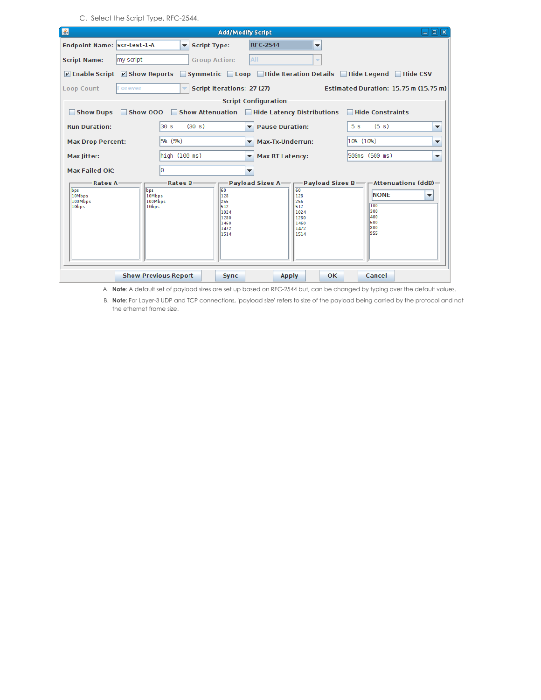C. Select the Script Type, RFC-2544.

| 国                                                                                                  |                                                                    | <b>Add/Modify Script</b>                                        | $\blacksquare$<br>÷                                                                                                                                                                                                                                                         |  |  |  |  |  |  |
|----------------------------------------------------------------------------------------------------|--------------------------------------------------------------------|-----------------------------------------------------------------|-----------------------------------------------------------------------------------------------------------------------------------------------------------------------------------------------------------------------------------------------------------------------------|--|--|--|--|--|--|
| Endpoint Name: Scr-test-1-A                                                                        | <b>Script Type:</b><br>$\blacksquare$                              | <b>RFC-2544</b>                                                 | ▼                                                                                                                                                                                                                                                                           |  |  |  |  |  |  |
| <b>Script Name:</b><br>my-script                                                                   |                                                                    | AII<br><b>Group Action:</b>                                     | $\overline{\phantom{a}}$                                                                                                                                                                                                                                                    |  |  |  |  |  |  |
| $\triangleright$ Enable Script $\triangleright$ Show Reports                                       |                                                                    |                                                                 | ■ Symmetric ■ Loop ■ Hide Iteration Details ■ Hide Legend ■ Hide CSV                                                                                                                                                                                                        |  |  |  |  |  |  |
| Forever<br>Script Iterations: 27 (27)<br>Estimated Duration: 15.75 m (15.75 m)<br>Loop Count<br>÷۱ |                                                                    |                                                                 |                                                                                                                                                                                                                                                                             |  |  |  |  |  |  |
|                                                                                                    |                                                                    | <b>Script Configuration</b>                                     |                                                                                                                                                                                                                                                                             |  |  |  |  |  |  |
| Show Dups<br>□ Show 000 □ Show Attenuation □ Hide Latency Distributions □ Hide Constraints         |                                                                    |                                                                 |                                                                                                                                                                                                                                                                             |  |  |  |  |  |  |
| <b>Run Duration:</b>                                                                               | 130 s<br>(30 s)                                                    | <b>Pause Duration:</b><br>▼                                     | (5 s)<br>5 <sub>s</sub><br>▼                                                                                                                                                                                                                                                |  |  |  |  |  |  |
| <b>Max Drop Percent:</b>                                                                           | $ 5\% \; (5\%)$                                                    | Max-Tx-Underrun:<br>$\overline{\phantom{a}}$                    | 10% (10%)<br>▼                                                                                                                                                                                                                                                              |  |  |  |  |  |  |
| Max Jitter:                                                                                        | $\begin{bmatrix} \n\text{high} & (100 \text{ ms}) \n\end{bmatrix}$ | <b>Max RT Latency:</b><br>▼                                     | 500ms (500 ms)<br>$\overline{\phantom{a}}$                                                                                                                                                                                                                                  |  |  |  |  |  |  |
| <b>Max Failed OK:</b>                                                                              | l٥                                                                 | $\overline{\phantom{a}}$                                        |                                                                                                                                                                                                                                                                             |  |  |  |  |  |  |
| -Rates A-<br>bps<br>10Mbps<br>100Mbps<br>1Gbps                                                     | Rates B-<br>bps<br>10Mbps<br>100Mbps<br>1Gbps                      | 60<br>128<br>256<br>512<br>1024<br>1280<br>1460<br>1472<br>1514 | -Pavload Sizes A— $\longleftarrow$ Pavload Sizes B— $\longleftarrow$ Attenuations (ddB)—<br>60<br><b>NONE</b><br>$\parallel$ 128<br>$\overline{\phantom{a}}$<br>256<br>100<br>512<br>300<br>$\frac{1024}{1024}$<br>400<br>1280<br>600<br>1460<br>800<br>1472<br>955<br>1514 |  |  |  |  |  |  |
|                                                                                                    | <b>Show Previous Report</b>                                        | <b>Apply</b><br><b>Sync</b>                                     | 0K.<br>Cancel                                                                                                                                                                                                                                                               |  |  |  |  |  |  |

A. **Note**: A default set of payload sizes are set up based on RFC-2544 but, can be changed by typing over the default values.

B. **Note**: For Layer-3 UDP and TCP connections, 'payload size' refers to size of the payload being carried by the protocol and not the ethernet frame size.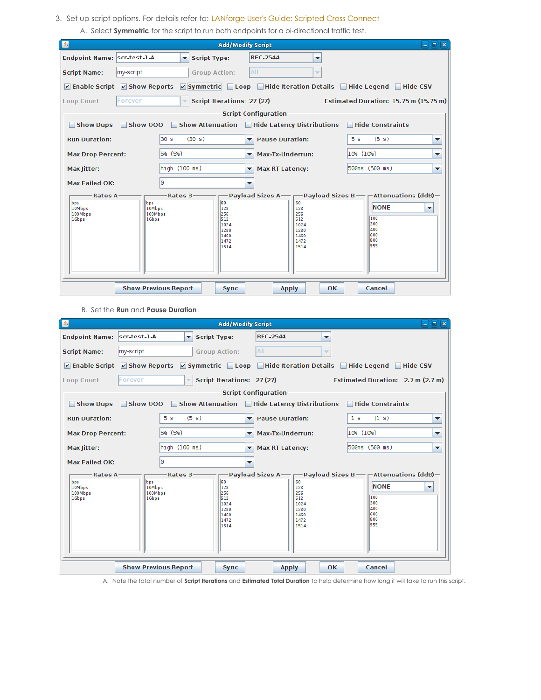- 3. Set up script options. For details refer to: [LANforge](http://www.candelatech.com/lfgui_ug.php#cx_scr) User's Guide: Scripted Cross Connect
	- A. Select **Symmetric** for the script to run both endpoints for a bi-directional traffic test.

| 图                                                                                                                               |                                   |                          |                                                                               | <b>Add/Modify Script</b>                           |                                                                                                        |                |                                                       | $ \blacksquare$ $\blacksquare$                                                                             |  |  |
|---------------------------------------------------------------------------------------------------------------------------------|-----------------------------------|--------------------------|-------------------------------------------------------------------------------|----------------------------------------------------|--------------------------------------------------------------------------------------------------------|----------------|-------------------------------------------------------|------------------------------------------------------------------------------------------------------------|--|--|
| Endpoint Name: Scr-test-1-A                                                                                                     |                                   | $\overline{\phantom{a}}$ | <b>Script Type:</b>                                                           | <b>RFC-2544</b>                                    | ▼                                                                                                      |                |                                                       |                                                                                                            |  |  |
| <b>Script Name:</b>                                                                                                             | my-script                         |                          | <b>Group Action:</b>                                                          | All                                                | $\overline{\phantom{a}}$                                                                               |                |                                                       |                                                                                                            |  |  |
| <b>☑ Enable Script Ø</b> Show Reports <b>Ø</b> Symmetric <b>Q</b> Loop <b>Q</b> Hide Iteration Details Q Hide Legend Q Hide CSV |                                   |                          |                                                                               |                                                    |                                                                                                        |                |                                                       |                                                                                                            |  |  |
| Loop Count                                                                                                                      | Forever                           | v.                       | Script Iterations: 27 (27)                                                    |                                                    |                                                                                                        |                |                                                       | Estimated Duration: 15.75 m (15.75 m)                                                                      |  |  |
|                                                                                                                                 | <b>Script Configuration</b>       |                          |                                                                               |                                                    |                                                                                                        |                |                                                       |                                                                                                            |  |  |
| Show Dups                                                                                                                       |                                   |                          | □ Show 000 □ Show Attenuation □ Hide Latency Distributions □ Hide Constraints |                                                    |                                                                                                        |                |                                                       |                                                                                                            |  |  |
| <b>Run Duration:</b>                                                                                                            |                                   | 130 s                    | (30 s)                                                                        | <b>Pause Duration:</b><br>$\overline{\phantom{a}}$ |                                                                                                        | 5 <sub>s</sub> | (5 s)                                                 | ▼                                                                                                          |  |  |
| <b>Max Drop Percent:</b>                                                                                                        |                                   | 5% (5%)                  |                                                                               | Max-Tx-Underrun:<br>$\overline{\phantom{a}}$       |                                                                                                        |                | 10% (10%)                                             | $\overline{\phantom{a}}$                                                                                   |  |  |
| Max Jitter:                                                                                                                     |                                   | high (100 ms)            |                                                                               | Max RT Latency:<br>$\overline{\phantom{a}}$        |                                                                                                        |                | 500ms (500 ms)                                        | $\overline{\phantom{a}}$                                                                                   |  |  |
| <b>Max Failed OK:</b>                                                                                                           |                                   | l٥                       |                                                                               | ▼                                                  |                                                                                                        |                |                                                       |                                                                                                            |  |  |
| -Rates A-                                                                                                                       |                                   | Rates $B -$              |                                                                               |                                                    |                                                                                                        |                |                                                       | $\rightarrow$ Payload Sizes A $\rightarrow$ Payload Sizes B $\rightarrow$ Attenuations (ddB) $\rightarrow$ |  |  |
| bps<br>10Mbps<br>100Mbps<br>1Gbps                                                                                               | bos<br>10Mbps<br>100Mbps<br>1Gbps |                          | 60<br>128<br>256<br>512<br>1024<br>1280<br>1460<br>1472<br>1514               |                                                    | 60<br>$\frac{1}{28}$<br>256<br>1512<br>11024<br>  1280<br>1460<br>$\frac{1472}{2}$<br>$\frac{1}{1514}$ |                | <b>NONE</b><br>100<br>300<br>400<br>600<br>800<br>955 | ▼                                                                                                          |  |  |
|                                                                                                                                 | <b>Show Previous Report</b>       |                          | <b>Sync</b>                                                                   |                                                    | <b>Apply</b>                                                                                           | <b>OK</b>      | Cancel                                                |                                                                                                            |  |  |

B. Set the **Run** and **Pause Duration**.

| 圖                            |                  |                             |                                                      | <b>Add/Modify Script</b> |                                     | $\Box$ lolix                                                                                             |  |  |  |
|------------------------------|------------------|-----------------------------|------------------------------------------------------|--------------------------|-------------------------------------|----------------------------------------------------------------------------------------------------------|--|--|--|
| Endpoint Name:  scr-test-1-A |                  | ▼                           | <b>Script Type:</b>                                  | <b>RFC-2544</b>          | ▼                                   |                                                                                                          |  |  |  |
| <b>Script Name:</b>          | my-script        |                             | <b>Group Action:</b>                                 | AII                      | ÷                                   |                                                                                                          |  |  |  |
|                              |                  |                             |                                                      |                          |                                     | <b>Z</b> Enable Script Z Show Reports Z Symmetric Loop Z Hide Iteration Details Z Hide Legend Z Hide CSV |  |  |  |
| Loop Count                   | Forever          | ÷                           | Script Iterations: 27 (27)                           |                          |                                     | Estimated Duration: 2.7 m (2.7 m)                                                                        |  |  |  |
| <b>Script Configuration</b>  |                  |                             |                                                      |                          |                                     |                                                                                                          |  |  |  |
| Show Dups                    |                  |                             | Show 000 Show Attenuation Hide Latency Distributions |                          |                                     | Hide Constraints                                                                                         |  |  |  |
| <b>Run Duration:</b>         |                  | (5 s)<br>5 <sub>s</sub>     |                                                      | $\blacktriangledown$     | <b>Pause Duration:</b>              | (1 s)<br>1 <sub>s</sub><br>▼                                                                             |  |  |  |
| <b>Max Drop Percent:</b>     |                  | 5% (5%)                     |                                                      | ▼                        | Max-Tx-Underrun:                    | 10% (10%)<br>▼                                                                                           |  |  |  |
| Max Jitter:                  |                  | high (100 ms)               |                                                      | ▼                        | <b>Max RT Latency:</b>              | 500ms (500 ms)<br>▼                                                                                      |  |  |  |
| Max Failed OK:               |                  | l0                          |                                                      | ▼                        |                                     |                                                                                                          |  |  |  |
| -Rates A-                    |                  | Rates B-                    |                                                      |                          |                                     | -Payload Sizes A— — Payload Sizes B— — Attenuations (ddB)—                                               |  |  |  |
| lbps<br>10Mbps               | bps<br>10Mbps    |                             | 60<br>128                                            |                          | 60<br>$\parallel$ 128               | <b>NONE</b><br>$\overline{\phantom{a}}$                                                                  |  |  |  |
| 100Mbps<br>1Gbps             | 100Mbps<br>1Gbps |                             | 256<br>512                                           |                          | $\parallel$ 256<br>$\frac{1}{5}$ 12 | 100                                                                                                      |  |  |  |
|                              |                  |                             | 1024                                                 |                          | $\frac{1}{1024}$                    | 300                                                                                                      |  |  |  |
|                              |                  |                             | 1280<br>1460                                         |                          | $\frac{1}{280}$<br>$\frac{1460}{2}$ | 400<br>600                                                                                               |  |  |  |
|                              |                  |                             | 1472<br>1514                                         |                          | 11472<br>1514                       | 1800<br>955                                                                                              |  |  |  |
|                              |                  |                             |                                                      |                          |                                     |                                                                                                          |  |  |  |
|                              |                  |                             |                                                      |                          |                                     |                                                                                                          |  |  |  |
|                              |                  |                             |                                                      |                          |                                     |                                                                                                          |  |  |  |
|                              |                  |                             |                                                      |                          |                                     |                                                                                                          |  |  |  |
|                              |                  | <b>Show Previous Report</b> | <b>Sync</b>                                          |                          | <b>Apply</b>                        | <b>OK</b><br>Cancel                                                                                      |  |  |  |

A. Note the total number of **Script Iterations** and **Estimated Total Duration** to help determine how long it will take to run this script.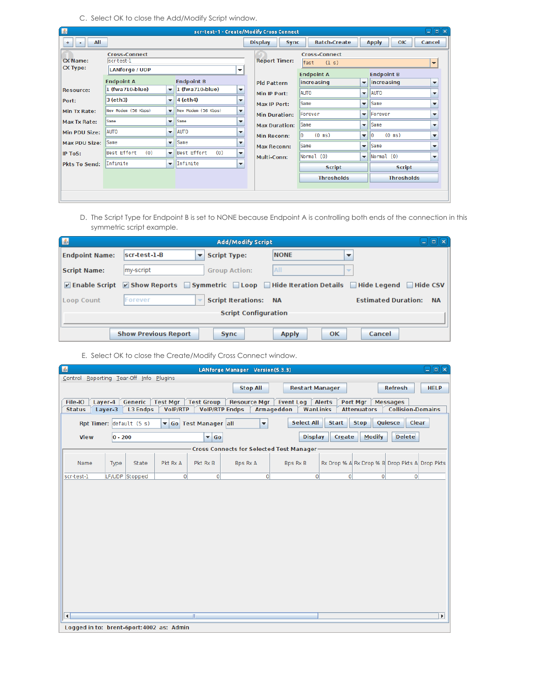C. Select OK to close the Add/Modify Script window.

| 圖                                  |                                                   |                          | scr-test-1 - Create/Modify Cross Connect            |                                                                                      |                        |                          |                        | <b>P</b><br>ات           |  |  |  |
|------------------------------------|---------------------------------------------------|--------------------------|-----------------------------------------------------|--------------------------------------------------------------------------------------|------------------------|--------------------------|------------------------|--------------------------|--|--|--|
| All<br>$+$<br>۰                    |                                                   |                          |                                                     | <b>Batch-Create</b><br>OК<br><b>Display</b><br><b>Apply</b><br>Cancel<br><b>Sync</b> |                        |                          |                        |                          |  |  |  |
|                                    | <b>Cross-Connect</b>                              |                          |                                                     | <b>Cross-Connect</b>                                                                 |                        |                          |                        |                          |  |  |  |
| <b>CX Name:</b><br><b>CX Type:</b> | scr-test-1                                        |                          |                                                     | <b>Report Timer:</b><br>(1 s)<br>fast                                                |                        |                          |                        |                          |  |  |  |
|                                    | <b>LANforge / UDP</b><br>$\overline{\phantom{a}}$ |                          |                                                     |                                                                                      | <b>Endpoint A</b>      |                          | <b>Endpoint B</b>      |                          |  |  |  |
|                                    | <b>Endpoint A</b>                                 |                          | <b>Endpoint B</b>                                   | <b>Pld Pattern</b>                                                                   | increasing             | $\blacktriangledown$     | increasing             | $\overline{\phantom{a}}$ |  |  |  |
| <b>Resource:</b>                   | $\lambda$ (fwa710-blue)                           | $\overline{\phantom{a}}$ | $\vert$ 1 (fwa710-blue)<br>$\overline{\phantom{a}}$ | Min IP Port:                                                                         | <b>AUTO</b>            | $\overline{\phantom{a}}$ | <b>AUTO</b>            | $\overline{\phantom{a}}$ |  |  |  |
| Port:                              | 3 (eth3)                                          | $\overline{\phantom{a}}$ | 4 (eth4)<br>$\overline{\phantom{a}}$                | Max IP Port:                                                                         | Same                   | $\overline{\phantom{a}}$ | Same                   | $\overline{\phantom{a}}$ |  |  |  |
| Min Tx Rate:                       | New Modem (56 Kbps)                               | $\overline{\phantom{a}}$ | New Modem (56 Kbps)<br>$\overline{\phantom{a}}$     | <b>Min Duration:</b>                                                                 | Forever                | $\overline{\phantom{a}}$ | Forever                | $\overline{\phantom{a}}$ |  |  |  |
| <b>Max Tx Rate:</b>                | Same                                              | $\overline{\phantom{a}}$ | Same<br>$\overline{\phantom{a}}$                    |                                                                                      | Same                   | $\overline{\phantom{a}}$ | Same                   | $\overline{\phantom{a}}$ |  |  |  |
| Min PDU Size:                      | <b>AUTO</b>                                       | $\overline{\phantom{a}}$ | <b>AUTO</b><br>$\overline{\phantom{a}}$             | <b>Max Duration:</b>                                                                 |                        |                          |                        |                          |  |  |  |
| <b>Max PDU Size:</b>               | Same                                              | $\overline{\phantom{a}}$ | Same<br>$\overline{\phantom{a}}$                    | <b>Min Reconn:</b>                                                                   | $(0 \text{ ms})$<br>lΘ | $\blacktriangledown$     | $(0 \text{ ms})$<br>ΙΘ | $\overline{\phantom{a}}$ |  |  |  |
|                                    |                                                   |                          |                                                     | <b>Max Reconn:</b>                                                                   | Same                   | $\overline{\phantom{a}}$ | <b>Same</b>            | $\overline{\phantom{a}}$ |  |  |  |
| <b>IP ToS:</b>                     | Best Effort<br>(0)                                | $\overline{\phantom{a}}$ | Best Effort<br>(0)<br>$\overline{\phantom{a}}$      | Multi-Conn:                                                                          | Normal (0)             | $\overline{\phantom{a}}$ | Normal(0)              | ▼                        |  |  |  |
| <b>Pkts To Send:</b>               | Infinite                                          | $\overline{\phantom{a}}$ | Infinite<br>$\overline{\phantom{a}}$                |                                                                                      | <b>Script</b>          |                          | <b>Script</b>          |                          |  |  |  |
|                                    |                                                   |                          |                                                     |                                                                                      | <b>Thresholds</b>      |                          | <b>Thresholds</b>      |                          |  |  |  |
|                                    |                                                   |                          |                                                     |                                                                                      |                        |                          |                        |                          |  |  |  |
|                                    |                                                   |                          |                                                     |                                                                                      |                        |                          |                        |                          |  |  |  |

D. The Script Type for Endpoint B is set to NONE because Endpoint A is controlling both ends of the connection in this symmetric script example.

| L                     |                                                                                                                                                                              | <b>Add/Modify Script</b>     |                    | ĺχ<br>6<br>۰ŀ                           |  |  |  |  |  |  |
|-----------------------|------------------------------------------------------------------------------------------------------------------------------------------------------------------------------|------------------------------|--------------------|-----------------------------------------|--|--|--|--|--|--|
| <b>Endpoint Name:</b> | scr-test-1-B                                                                                                                                                                 | <b>Script Type:</b>          | <b>NONE</b>        |                                         |  |  |  |  |  |  |
| <b>Script Name:</b>   | my-script                                                                                                                                                                    | <b>Group Action:</b>         | All                | $\overline{\phantom{a}}$                |  |  |  |  |  |  |
|                       | $\triangledown$ Enable Script $\triangledown$ Show Reports $\triangledown$ Symmetric $\triangledown$ Loop $\triangledown$ Hide Iteration Details $\triangledown$ Hide Legend |                              |                    | $\Box$ Hide CSV                         |  |  |  |  |  |  |
| <b>Loop Count</b>     | Forever                                                                                                                                                                      | <b>Script Iterations: NA</b> |                    | <b>Estimated Duration:</b><br><b>NA</b> |  |  |  |  |  |  |
|                       | <b>Script Configuration</b>                                                                                                                                                  |                              |                    |                                         |  |  |  |  |  |  |
|                       | <b>Show Previous Report</b>                                                                                                                                                  | <b>Sync</b>                  | <b>Apply</b><br>OK | Cancel                                  |  |  |  |  |  |  |

E. Select OK to close the Create/Modify Cross Connect window.

| 圖                        |                                                                                                                                                             |                                    |                                            | LANforge Manager Version(5.3.3) |                                                          |                                                 |                                               | $\Box$ e $\bm{x}$     |  |
|--------------------------|-------------------------------------------------------------------------------------------------------------------------------------------------------------|------------------------------------|--------------------------------------------|---------------------------------|----------------------------------------------------------|-------------------------------------------------|-----------------------------------------------|-----------------------|--|
|                          | Control Reporting Tear-Off Info Plugins                                                                                                                     |                                    |                                            |                                 |                                                          |                                                 |                                               |                       |  |
|                          |                                                                                                                                                             |                                    |                                            | <b>Stop All</b>                 | <b>Restart Manager</b>                                   |                                                 | Refresh                                       | <b>HELP</b>           |  |
|                          |                                                                                                                                                             |                                    |                                            |                                 |                                                          |                                                 |                                               |                       |  |
| File-IO<br><b>Status</b> | Generic<br>Layer-4<br>Layer-3<br><b>L3 Endps</b>                                                                                                            | <b>Test Mgr</b><br><b>VoIP/RTP</b> | <b>Test Group</b><br><b>VolP/RTP Endps</b> | <b>Resource Mgr</b>             | <b>Event Log</b><br><b>Armageddon</b><br><b>WanLinks</b> | <b>Alerts</b><br>Port Mgr<br><b>Attenuators</b> | <b>Messages</b><br><b>Collision-Domains</b>   |                       |  |
|                          |                                                                                                                                                             |                                    |                                            |                                 |                                                          |                                                 |                                               |                       |  |
|                          | <b>Select All</b><br>Quiesce<br><b>Start</b><br><b>Stop</b><br><b>Clear</b><br>$\overline{\mathbf{v}}$<br>Rpt Timer: default (5 s)<br>▼ Go Test Manager all |                                    |                                            |                                 |                                                          |                                                 |                                               |                       |  |
| <b>View</b>              | $ 0 - 200 $                                                                                                                                                 |                                    | $\blacktriangledown$ Go                    |                                 | <b>Display</b>                                           | Create                                          | <b>Delete</b><br><b>Modify</b>                |                       |  |
|                          |                                                                                                                                                             |                                    |                                            |                                 | Cross Connects for Selected Test Manager-                |                                                 |                                               |                       |  |
| Name                     | State<br>Type                                                                                                                                               | Pkt Rx A                           | Pkt Rx B                                   | <b>Bps Rx A</b>                 | Bps Rx B                                                 |                                                 | Rx Drop % A Rx Drop % B Drop Pkts A Drop Pkts |                       |  |
| scr-test-1               | LF/UDP Stopped                                                                                                                                              | $\circ$                            | $\circ$                                    | $\circ$                         | $\circ$                                                  | $\circ$                                         | $\circ$<br>$\circ$                            |                       |  |
|                          |                                                                                                                                                             |                                    |                                            |                                 |                                                          |                                                 |                                               |                       |  |
| $\left  \right $         |                                                                                                                                                             |                                    | Ш                                          |                                 |                                                          |                                                 |                                               | $\blacktriangleright$ |  |
|                          | Logged in to: brent-6port: 4002 as: Admin                                                                                                                   |                                    |                                            |                                 |                                                          |                                                 |                                               |                       |  |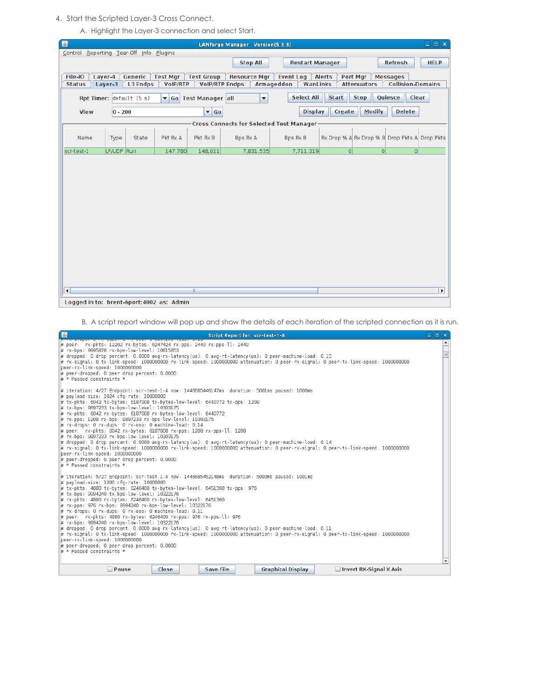4. Start the Scripted Layer-3 Cross Connect.

A. Highlight the Layer-3 connection and select Start.

| 圖                                       |                                                                                                                                                   |                 |                                           |                         | LANforge Manager Version(5.3.3)           |                               |                                               |                    |                          | $  \sim$              |
|-----------------------------------------|---------------------------------------------------------------------------------------------------------------------------------------------------|-----------------|-------------------------------------------|-------------------------|-------------------------------------------|-------------------------------|-----------------------------------------------|--------------------|--------------------------|-----------------------|
| Control Reporting Tear-Off Info Plugins |                                                                                                                                                   |                 |                                           |                         |                                           |                               |                                               |                    |                          |                       |
|                                         |                                                                                                                                                   |                 |                                           |                         | <b>Stop All</b>                           | <b>Restart Manager</b>        |                                               |                    | <b>Refresh</b>           | <b>HELP</b>           |
| File-IO                                 | Laver-4                                                                                                                                           | Generic         | <b>Test Mgr</b>                           | <b>Test Group</b>       | <b>Resource Mgr</b>                       | Event Log                     | <b>Alerts</b><br><b>Port Mgr</b>              |                    | <b>Messages</b>          |                       |
| <b>Status</b>                           | Layer-3                                                                                                                                           | <b>L3 Endps</b> | <b>VoIP/RTP</b>                           | <b>VolP/RTP Endps</b>   |                                           | <b>Armageddon</b><br>WanLinks |                                               | <b>Attenuators</b> | <b>Collision-Domains</b> |                       |
|                                         | <b>Start</b><br><b>Select All</b><br><b>Stop</b><br>Quiesce<br>Clear<br>Rpt Timer: default (5 s)<br>▼ Go Test Manager all<br>$\blacktriangledown$ |                 |                                           |                         |                                           |                               |                                               |                    |                          |                       |
| <b>View</b>                             | $0 - 200$                                                                                                                                         |                 |                                           | $\blacktriangledown$ Go |                                           | <b>Display</b>                | Create                                        | <b>Modify</b>      | <b>Delete</b>            |                       |
|                                         |                                                                                                                                                   |                 |                                           |                         | Cross Connects for Selected Test Manager- |                               |                                               |                    |                          |                       |
| Name                                    | Type                                                                                                                                              | State           | Pkt Rx A                                  | Pkt Rx B                | <b>Bps Rx A</b>                           | <b>Bps Rx B</b>               | Rx Drop % A Rx Drop % B Drop Pkts A Drop Pkts |                    |                          |                       |
| scr-test-1                              | LF/UDP Run                                                                                                                                        |                 | 147,780                                   | 148,011                 | 7,831,535                                 | 7,711,319                     | 0                                             | $\overline{0}$     | 0                        |                       |
|                                         |                                                                                                                                                   |                 |                                           |                         |                                           |                               |                                               |                    |                          |                       |
| $\left  \cdot \right $                  |                                                                                                                                                   |                 |                                           | $\mathbb{I}$            |                                           |                               |                                               |                    |                          | $\blacktriangleright$ |
|                                         |                                                                                                                                                   |                 | Logged in to: brent-6port: 4002 as: Admin |                         |                                           |                               |                                               |                    |                          |                       |

B. A script report window will pop up and show the details of each iteration of the scripted connection as it is run.

| $\frac{2}{3}$<br>Script Report for: scr-test-1-A                                                                                                                                                                                                                                                                                                                                                                                                                                                                                                                                                                                                                                                                                                                                                                                                                                                                                                               | $\Box$ ek |                          |
|----------------------------------------------------------------------------------------------------------------------------------------------------------------------------------------------------------------------------------------------------------------------------------------------------------------------------------------------------------------------------------------------------------------------------------------------------------------------------------------------------------------------------------------------------------------------------------------------------------------------------------------------------------------------------------------------------------------------------------------------------------------------------------------------------------------------------------------------------------------------------------------------------------------------------------------------------------------|-----------|--------------------------|
| # peer: rx-pkts: 12202 rx-bytes: 6247424 rx-pps: 2440 rx-pps-ll: 2440<br># rx-bps: 9995878 rx-bps-low-level: 10815853<br>dropped: 0 drop percent: 0.0000 avq-rx-latency(us): 0 avq-rt-latency(us): 0 peer-machine-load: 0.15 #<br>Friganal: 0 tx-link-speed: 1000000000 rx-link-speed: 1000000000 attenuation: 0 peer-rx-signal: 0 peer-tx-link-speed: 10000000000 #<br>peer-rx-link-speed: 1000000000<br># peer-dropped: 0 peer drop percent: 0.0000<br>$\# *$ Passed constraints *                                                                                                                                                                                                                                                                                                                                                                                                                                                                           |           | $\blacktriangle$         |
| ighthroation: 4/27 Endpoint: scr-test-1-A now: 1446685446147ms duration: 5001ms paused: 1000ms # # #  <br># payload-size: 1024 cfg-rate: 10000000<br># tx-pkts: 6042 tx-bytes: 6187008 tx-bytes-low-level: 6440772 tx-pps: 1208<br># tx-bps: 9897233 tx-bps-low-level: 10303175<br># rx-pkts: 6042 rx-bytes: 6187008 rx-bytes-low-level: 6440772<br> # rx-pps: 1208 rx-bps: 9897233 rx-bps-low-level: 10303175<br># rx-drops: 0 rx-dups: 0 rx-ooo: 0 machine-load: 0.14<br># peer: rx-pkts: 6042 rx-bytes: 6187008 rx-pps: 1208 rx-pps-ll: 1208<br># rx-bps: 9897233 rx-bps-low-level: 10303175<br>$\#$ dropped: 0 drop percent: 0.0000 avq-rx-latency(us): 0 avq-rt-latency(us): 0 peer-machine-load: 0.14<br>rx-signal: 0 tx-link-speed: 1000000000 rx-link-speed: 1000000000 attenuation: 0 peer-rx-signal: 0 peer-tx-link-speed: 1000000000 [<br>peer-rx-link-speed: 1000000000<br># peer-dropped: 0 peer drop percent: 0.0000<br># * Passed constraints * |           |                          |
| # iteration: 5/27 Endpoint: scr-test-1-A now: 1446685452148ms duration: 5000ms paused: 1001ms #<br># payload-size: 1280 cfg-rate: 10000000<br> # tx-pkts: 4880 tx-bytes: 6246400 tx-bytes-low-level: 6451360 tx-pps: 976<br># tx-bps: 9994240 tx-bps-low-level: 10322176<br> # rx-pkts: 4880 rx-bytes: 6246400 rx-bytes-low-level: 6451360<br># rx-pps: 976 rx-bps: 9994240 rx-bps-low-level: 10322176<br># rx-drops: 0 rx-dups: 0 rx-ooo: 0 machine-load: 0.11<br># peer: rx-pkts: 4880 rx-bytes: 6246400 rx-pps: 976 rx-pps-ll: 976<br># rx-bps: 9994240 rx-bps-low-level: 10322176<br>$\#$ dropped: 0 drop percent: 0.0000 avq-rx-latency(us): 0 avq-rt-latency(us): 0 peer-machine-load: 0.11<br># rx-signal: 0 tx-link-speed: 1000000000 rx-link-speed: 1000000000 attenuation: 0 peer-rx-signal: 0 peer-tx-link-speed: 1000000000 #<br>peer-rx-link-speed: 1000000000<br># peer-dropped: 0 peer drop percent: 0.0000<br># * Passed constraints *         |           | $\overline{\phantom{0}}$ |
| <b>Save File</b><br><b>Graphical Display</b><br>$\Box$ Pause<br>Invert RX-Signal X Axis<br>Close                                                                                                                                                                                                                                                                                                                                                                                                                                                                                                                                                                                                                                                                                                                                                                                                                                                               |           |                          |